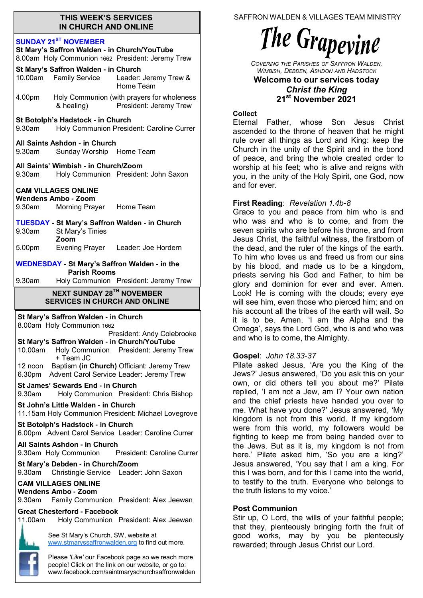#### **THIS WEEK'S SERVICES IN CHURCH AND ONLINE**

#### **SUNDAY 21ST NOVEMBER**

| St Mary's Saffron Walden - in Church/YouTube<br>8.00am Holy Communion 1662 President: Jeremy Trew |                                                                   |                                                                                        |  |
|---------------------------------------------------------------------------------------------------|-------------------------------------------------------------------|----------------------------------------------------------------------------------------|--|
|                                                                                                   | St Mary's Saffron Walden - in Church<br>10.00am Family Service    | Leader: Jeremy Trew &<br>Home Team                                                     |  |
| 4.00pm                                                                                            | & healing)                                                        | Holy Communion (with prayers for wholeness<br>President: Jeremy Trew                   |  |
| St Botolph's Hadstock - in Church<br>Holy Communion President: Caroline Currer<br>9.30am          |                                                                   |                                                                                        |  |
| All Saints Ashdon - in Church<br>9.30am<br>Sunday Worship Home Team                               |                                                                   |                                                                                        |  |
|                                                                                                   | All Saints' Wimbish - in Church/Zoom                              | 9.30am Holy Communion President: John Saxon                                            |  |
| <b>CAM VILLAGES ONLINE</b><br><b>Wendens Ambo - Zoom</b><br>9.30am Morning Prayer Home Team       |                                                                   |                                                                                        |  |
| 9.30am                                                                                            | St Mary's Tinies                                                  | <b>TUESDAY - St Mary's Saffron Walden - in Church</b>                                  |  |
| 5.00pm                                                                                            | Zoom                                                              | Evening Prayer Leader: Joe Hordern                                                     |  |
|                                                                                                   | <b>Parish Rooms</b>                                               | <b>WEDNESDAY - St Mary's Saffron Walden - in the</b>                                   |  |
| 9.30am                                                                                            |                                                                   | Holy Communion President: Jeremy Trew                                                  |  |
|                                                                                                   | NEXT SUNDAY 28TH NOVEMBER<br><b>SERVICES IN CHURCH AND ONLINE</b> |                                                                                        |  |
|                                                                                                   |                                                                   |                                                                                        |  |
|                                                                                                   | St Mary's Saffron Walden - in Church                              |                                                                                        |  |
|                                                                                                   | 8.00am Holy Communion 1662                                        | President: Andy Colebrooke                                                             |  |
| 10.00am                                                                                           | St Mary's Saffron Walden - in Church/YouTube<br>+ Team JC         | Holy Communion President: Jeremy Trew                                                  |  |
| 12 noon<br>6.30pm                                                                                 |                                                                   | Baptism (in Church) Officiant: Jeremy Trew<br>Advent Carol Service Leader: Jeremy Trew |  |
| 9.30am                                                                                            | St James' Sewards End - in Church                                 | Holy Communion President: Chris Bishop                                                 |  |
|                                                                                                   | St John's Little Walden - in Church                               | 11.15am Holy Communion President: Michael Lovegrove                                    |  |
|                                                                                                   | St Botolph's Hadstock - in Church                                 | 6.00pm Advent Carol Service Leader: Caroline Currer                                    |  |
|                                                                                                   | All Saints Ashdon - in Church<br>9.30am Holy Communion            | President: Caroline Currer                                                             |  |
| 9.30am                                                                                            | St Mary's Debden - in Church/Zoom                                 | Christingle Service Leader: John Saxon                                                 |  |
| 9.30am                                                                                            | <b>CAM VILLAGES ONLINE</b><br>Wendens Ambo - Zoom                 | Family Communion President: Alex Jeewan                                                |  |
| 11.00am                                                                                           | <b>Great Chesterford - Facebook</b>                               | Holy Communion President: Alex Jeewan                                                  |  |
|                                                                                                   | See St Mary's Church, SW, website at                              | www.stmaryssaffronwalden.org to find out more.                                         |  |

www.facebook.com/saintmaryschurchsaffronwalden

SAFFRON WALDEN & VILLAGES TEAM MINISTRY

# The Grapevine

*COVERING THE PARISHES OF SAFFRON WALDEN, WIMBISH, DEBDEN, ASHDON AND HADSTOCK*

#### **Welcome to our services today**  *Christ the King* **21st November 2021**

## **Collect**

Eternal Father, whose Son Jesus Christ ascended to the throne of heaven that he might rule over all things as Lord and King: keep the Church in the unity of the Spirit and in the bond of peace, and bring the whole created order to worship at his feet; who is alive and reigns with you, in the unity of the Holy Spirit, one God, now and for ever.

# **First Reading**: *Revelation 1.4b-8*

Grace to you and peace from him who is and who was and who is to come, and from the seven spirits who are before his throne, and from Jesus Christ, the faithful witness, the firstborn of the dead, and the ruler of the kings of the earth. To him who loves us and freed us from our sins by his blood, and made us to be a kingdom, priests serving his God and Father, to him be glory and dominion for ever and ever. Amen. Look! He is coming with the clouds; every eye will see him, even those who pierced him; and on his account all the tribes of the earth will wail. So it is to be. Amen. 'I am the Alpha and the Omega', says the Lord God, who is and who was and who is to come, the Almighty.

# **Gospel**: *John 18.33-37*

Pilate asked Jesus, 'Are you the King of the Jews?' Jesus answered, 'Do you ask this on your own, or did others tell you about me?' Pilate replied, 'I am not a Jew, am I? Your own nation and the chief priests have handed you over to me. What have you done?' Jesus answered, 'My kingdom is not from this world. If my kingdom were from this world, my followers would be fighting to keep me from being handed over to the Jews. But as it is, my kingdom is not from here.' Pilate asked him, 'So you are a king?' Jesus answered, 'You say that I am a king. For this I was born, and for this I came into the world, to testify to the truth. Everyone who belongs to the truth listens to my voice.'

## **Post Communion**

Stir up, O Lord, the wills of your faithful people; that they, plenteously bringing forth the fruit of good works, may by you be plenteously rewarded; through Jesus Christ our Lord.